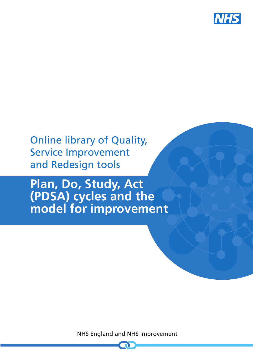

# Online library of Quality, Service Improvement and Redesign tools

# **Plan, Do, Study, Act (PDSA) cycles and the model for improvement**

NHS England and NHS Improvement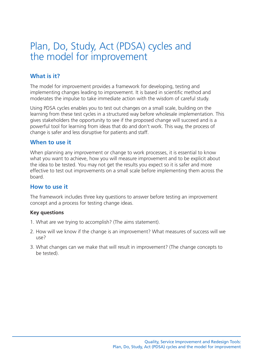## Plan, Do, Study, Act (PDSA) cycles and the model for improvement

#### **What is it?**

The model for improvement provides a framework for developing, testing and implementing changes leading to improvement. It is based in scientific method and moderates the impulse to take immediate action with the wisdom of careful study.

Using PDSA cycles enables you to test out changes on a small scale, building on the learning from these test cycles in a structured way before wholesale implementation. This gives stakeholders the opportunity to see if the proposed change will succeed and is a powerful tool for learning from ideas that do and don't work. This way, the process of change is safer and less disruptive for patients and staff.

#### **When to use it**

When planning any improvement or change to work processes, it is essential to know what you want to achieve, how you will measure improvement and to be explicit about the idea to be tested. You may not get the results you expect so it is safer and more effective to test out improvements on a small scale before implementing them across the board.

#### **How to use it**

The framework includes three key questions to answer before testing an improvement concept and a process for testing change ideas.

#### **Key questions**

- 1. What are we trying to accomplish? (The aims statement).
- 2. How will we know if the change is an improvement? What measures of success will we use?
- 3. What changes can we make that will result in improvement? (The change concepts to be tested).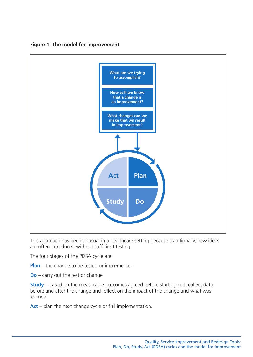

#### **Figure 1: The model for improvement**

This approach has been unusual in a healthcare setting because traditionally, new ideas are often introduced without sufficient testing.

The four stages of the PDSA cycle are:

**Plan** – the change to be tested or implemented

**Do** – carry out the test or change

**Study** – based on the measurable outcomes agreed before starting out, collect data before and after the change and reflect on the impact of the change and what was learned

**Act** – plan the next change cycle or full implementation.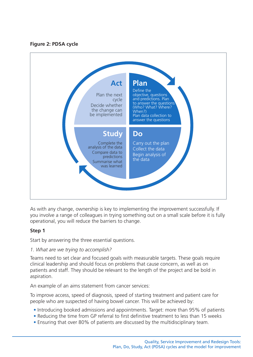#### **Figure 2: PDSA cycle**



As with any change, ownership is key to implementing the improvement successfully. If you involve a range of colleagues in trying something out on a small scale before it is fully operational, you will reduce the barriers to change.

#### **Step 1**

Start by answering the three essential questions.

#### *1. What are we trying to accomplish?*

Teams need to set clear and focused goals with measurable targets. These goals require clinical leadership and should focus on problems that cause concern, as well as on patients and staff. They should be relevant to the length of the project and be bold in aspiration.

An example of an aims statement from cancer services:

To improve access, speed of diagnosis, speed of starting treatment and patient care for people who are suspected of having bowel cancer. This will be achieved by:

- Introducing booked admissions and appointments. Target: more than 95% of patients
- Reducing the time from GP referral to first definitive treatment to less than 15 weeks
- Ensuring that over 80% of patients are discussed by the multidisciplinary team.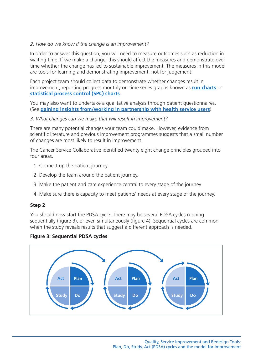#### *2. How do we know if the change is an improvement?*

In order to answer this question, you will need to measure outcomes such as reduction in waiting time. If we make a change, this should affect the measures and demonstrate over time whether the change has led to sustainable improvement. The measures in this model are tools for learning and demonstrating improvement, not for judgement.

Each project team should collect data to demonstrate whether changes result in improvement, reporting progress monthly on time series graphs known as **run [charts](https://www.england.nhs.uk/quality-service-improvement-and-redesign-qsir-tools/#full-list)** or **[statistical](https://www.england.nhs.uk/quality-service-improvement-and-redesign-qsir-tools/#full-list) process control (SPC) charts**.

You may also want to undertake a qualitative analysis through patient questionnaires. (See **gaining insights [from/working](https://www.england.nhs.uk/quality-service-improvement-and-redesign-qsir-tools/#full-list) in partnership with health service users**)

#### *3. What changes can we make that will result in improvement?*

There are many potential changes your team could make. However, evidence from scientific literature and previous improvement programmes suggests that a small number of changes are most likely to result in improvement.

The Cancer Service Collaborative identified twenty eight change principles grouped into four areas.

- 1. Connect up the patient journey.
- 2. Develop the team around the patient journey.
- 3. Make the patient and care experience central to every stage of the journey.
- 4. Make sure there is capacity to meet patients' needs at every stage of the journey.

#### **Step 2**

You should now start the PDSA cycle. There may be several PDSA cycles running sequentially (figure 3), or even simultaneously (figure 4). Sequential cycles are common when the study reveals results that suggest a different approach is needed.

#### **Figure 3: Sequential PDSA cycles**

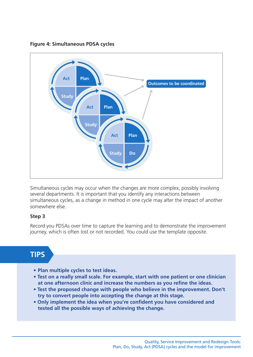**Figure 4: Simultaneous PDSA cycles**



Simultaneous cycles may occur when the changes are more complex, possibly involving several departments. It is important that you identify any interactions between simultaneous cycles, as a change in method in one cycle may alter the impact of another somewhere else.

#### **Step 3**

Record you PDSAs over time to capture the learning and to demonstrate the improvement journey, which is often lost or not recorded. You could use the template opposite.

### **TIPS**

- **Plan multiple cycles to test ideas.**
- **• Test on a really small scale. For example, start with one patient or one clinician at one afternoon clinic and increase the numbers as you refine the ideas.**
- **• Test the proposed change with people who believe in the improvement. Don't try to convert people into accepting the change at this stage.**
- **• Only implement the idea when you're confident you have considered and tested all the possible ways of achieving the change.**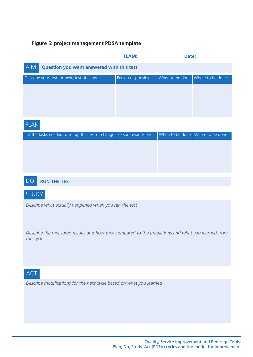#### **Figure 5: project management PDSA template**

|                                                                                                               | <b>TEAM:</b>       | Date: |                                                       |
|---------------------------------------------------------------------------------------------------------------|--------------------|-------|-------------------------------------------------------|
| AIM<br>Question you want answered with this test:                                                             |                    |       |                                                       |
| Describe your first (or next) test of change                                                                  | Person responsible |       | When to be done $\sqrt{\frac{1}{1}}$ Where to be done |
|                                                                                                               |                    |       |                                                       |
|                                                                                                               |                    |       |                                                       |
|                                                                                                               |                    |       |                                                       |
| <b>PLAN</b>                                                                                                   |                    |       |                                                       |
| List the tasks needed to set up this test of change   Person responsible                                      |                    |       | When to be done Where to be done                      |
|                                                                                                               |                    |       |                                                       |
|                                                                                                               |                    |       |                                                       |
|                                                                                                               |                    |       |                                                       |
| <b>DQ</b><br><b>RUN THE TEST</b>                                                                              |                    |       |                                                       |
| <b>STUDY</b>                                                                                                  |                    |       |                                                       |
| Describe what actually happened when you ran the test                                                         |                    |       |                                                       |
|                                                                                                               |                    |       |                                                       |
|                                                                                                               |                    |       |                                                       |
| Describe the measured results and how they compared to the predictions and what you learned from<br>the cycle |                    |       |                                                       |
|                                                                                                               |                    |       |                                                       |
|                                                                                                               |                    |       |                                                       |
| <b>ACT</b>                                                                                                    |                    |       |                                                       |
| Describe modifications for the next cycle based on what you learned                                           |                    |       |                                                       |
|                                                                                                               |                    |       |                                                       |
|                                                                                                               |                    |       |                                                       |
|                                                                                                               |                    |       |                                                       |
|                                                                                                               |                    |       |                                                       |